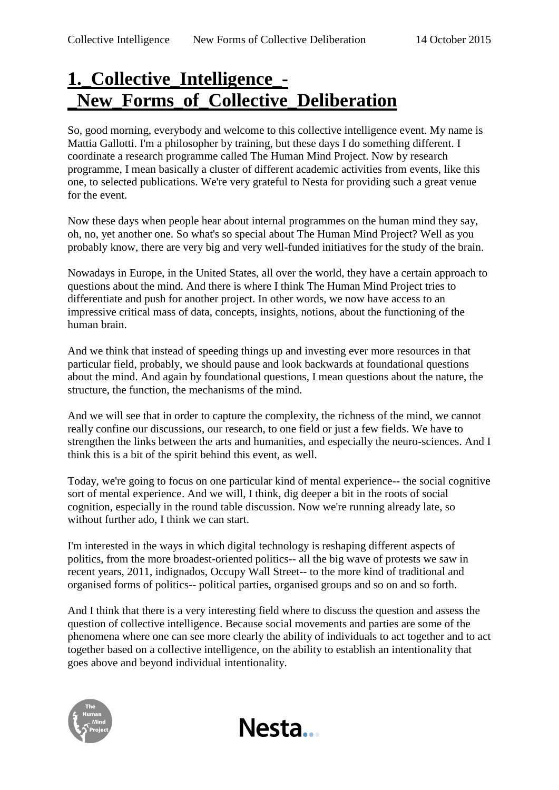## **1.\_Collective\_Intelligence\_- \_New\_Forms\_of\_Collective\_Deliberation**

So, good morning, everybody and welcome to this collective intelligence event. My name is Mattia Gallotti. I'm a philosopher by training, but these days I do something different. I coordinate a research programme called The Human Mind Project. Now by research programme, I mean basically a cluster of different academic activities from events, like this one, to selected publications. We're very grateful to Nesta for providing such a great venue for the event.

Now these days when people hear about internal programmes on the human mind they say, oh, no, yet another one. So what's so special about The Human Mind Project? Well as you probably know, there are very big and very well-funded initiatives for the study of the brain.

Nowadays in Europe, in the United States, all over the world, they have a certain approach to questions about the mind. And there is where I think The Human Mind Project tries to differentiate and push for another project. In other words, we now have access to an impressive critical mass of data, concepts, insights, notions, about the functioning of the human brain.

And we think that instead of speeding things up and investing ever more resources in that particular field, probably, we should pause and look backwards at foundational questions about the mind. And again by foundational questions, I mean questions about the nature, the structure, the function, the mechanisms of the mind.

And we will see that in order to capture the complexity, the richness of the mind, we cannot really confine our discussions, our research, to one field or just a few fields. We have to strengthen the links between the arts and humanities, and especially the neuro-sciences. And I think this is a bit of the spirit behind this event, as well.

Today, we're going to focus on one particular kind of mental experience-- the social cognitive sort of mental experience. And we will, I think, dig deeper a bit in the roots of social cognition, especially in the round table discussion. Now we're running already late, so without further ado, I think we can start.

I'm interested in the ways in which digital technology is reshaping different aspects of politics, from the more broadest-oriented politics-- all the big wave of protests we saw in recent years, 2011, indignados, Occupy Wall Street-- to the more kind of traditional and organised forms of politics-- political parties, organised groups and so on and so forth.

And I think that there is a very interesting field where to discuss the question and assess the question of collective intelligence. Because social movements and parties are some of the phenomena where one can see more clearly the ability of individuals to act together and to act together based on a collective intelligence, on the ability to establish an intentionality that goes above and beyond individual intentionality.

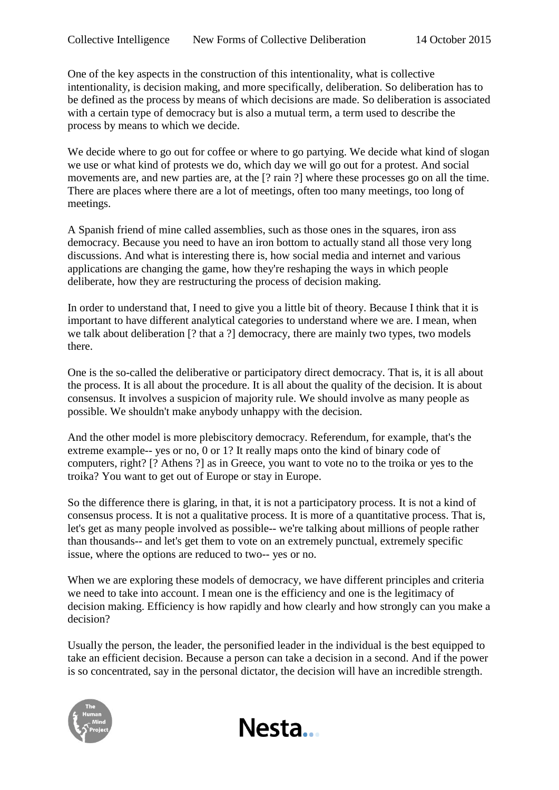One of the key aspects in the construction of this intentionality, what is collective intentionality, is decision making, and more specifically, deliberation. So deliberation has to be defined as the process by means of which decisions are made. So deliberation is associated with a certain type of democracy but is also a mutual term, a term used to describe the process by means to which we decide.

We decide where to go out for coffee or where to go partying. We decide what kind of slogan we use or what kind of protests we do, which day we will go out for a protest. And social movements are, and new parties are, at the [? rain ?] where these processes go on all the time. There are places where there are a lot of meetings, often too many meetings, too long of meetings.

A Spanish friend of mine called assemblies, such as those ones in the squares, iron ass democracy. Because you need to have an iron bottom to actually stand all those very long discussions. And what is interesting there is, how social media and internet and various applications are changing the game, how they're reshaping the ways in which people deliberate, how they are restructuring the process of decision making.

In order to understand that, I need to give you a little bit of theory. Because I think that it is important to have different analytical categories to understand where we are. I mean, when we talk about deliberation [? that a ?] democracy, there are mainly two types, two models there.

One is the so-called the deliberative or participatory direct democracy. That is, it is all about the process. It is all about the procedure. It is all about the quality of the decision. It is about consensus. It involves a suspicion of majority rule. We should involve as many people as possible. We shouldn't make anybody unhappy with the decision.

And the other model is more plebiscitory democracy. Referendum, for example, that's the extreme example-- yes or no, 0 or 1? It really maps onto the kind of binary code of computers, right? [? Athens ?] as in Greece, you want to vote no to the troika or yes to the troika? You want to get out of Europe or stay in Europe.

So the difference there is glaring, in that, it is not a participatory process. It is not a kind of consensus process. It is not a qualitative process. It is more of a quantitative process. That is, let's get as many people involved as possible-- we're talking about millions of people rather than thousands-- and let's get them to vote on an extremely punctual, extremely specific issue, where the options are reduced to two-- yes or no.

When we are exploring these models of democracy, we have different principles and criteria we need to take into account. I mean one is the efficiency and one is the legitimacy of decision making. Efficiency is how rapidly and how clearly and how strongly can you make a decision?

Usually the person, the leader, the personified leader in the individual is the best equipped to take an efficient decision. Because a person can take a decision in a second. And if the power is so concentrated, say in the personal dictator, the decision will have an incredible strength.



Nesta...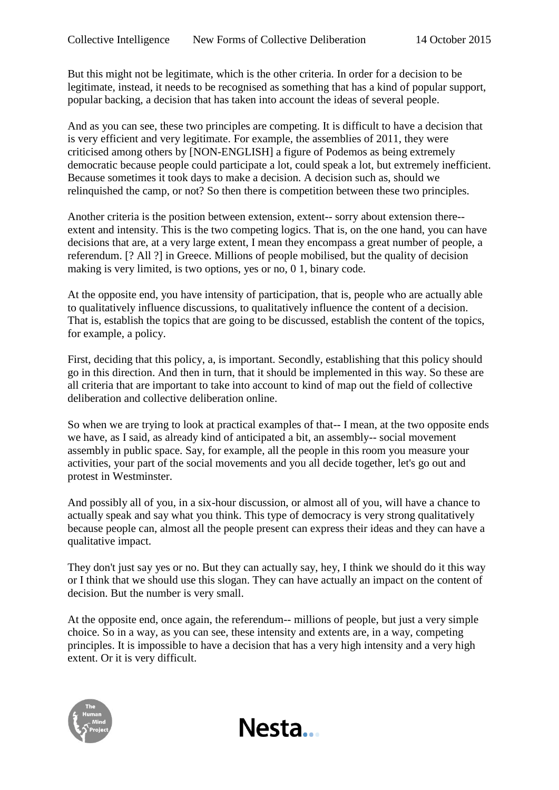But this might not be legitimate, which is the other criteria. In order for a decision to be legitimate, instead, it needs to be recognised as something that has a kind of popular support, popular backing, a decision that has taken into account the ideas of several people.

And as you can see, these two principles are competing. It is difficult to have a decision that is very efficient and very legitimate. For example, the assemblies of 2011, they were criticised among others by [NON-ENGLISH] a figure of Podemos as being extremely democratic because people could participate a lot, could speak a lot, but extremely inefficient. Because sometimes it took days to make a decision. A decision such as, should we relinquished the camp, or not? So then there is competition between these two principles.

Another criteria is the position between extension, extent-- sorry about extension there- extent and intensity. This is the two competing logics. That is, on the one hand, you can have decisions that are, at a very large extent, I mean they encompass a great number of people, a referendum. [? All ?] in Greece. Millions of people mobilised, but the quality of decision making is very limited, is two options, yes or no, 0 1, binary code.

At the opposite end, you have intensity of participation, that is, people who are actually able to qualitatively influence discussions, to qualitatively influence the content of a decision. That is, establish the topics that are going to be discussed, establish the content of the topics, for example, a policy.

First, deciding that this policy, a, is important. Secondly, establishing that this policy should go in this direction. And then in turn, that it should be implemented in this way. So these are all criteria that are important to take into account to kind of map out the field of collective deliberation and collective deliberation online.

So when we are trying to look at practical examples of that-- I mean, at the two opposite ends we have, as I said, as already kind of anticipated a bit, an assembly-- social movement assembly in public space. Say, for example, all the people in this room you measure your activities, your part of the social movements and you all decide together, let's go out and protest in Westminster.

And possibly all of you, in a six-hour discussion, or almost all of you, will have a chance to actually speak and say what you think. This type of democracy is very strong qualitatively because people can, almost all the people present can express their ideas and they can have a qualitative impact.

They don't just say yes or no. But they can actually say, hey, I think we should do it this way or I think that we should use this slogan. They can have actually an impact on the content of decision. But the number is very small.

At the opposite end, once again, the referendum-- millions of people, but just a very simple choice. So in a way, as you can see, these intensity and extents are, in a way, competing principles. It is impossible to have a decision that has a very high intensity and a very high extent. Or it is very difficult.

Nesta...

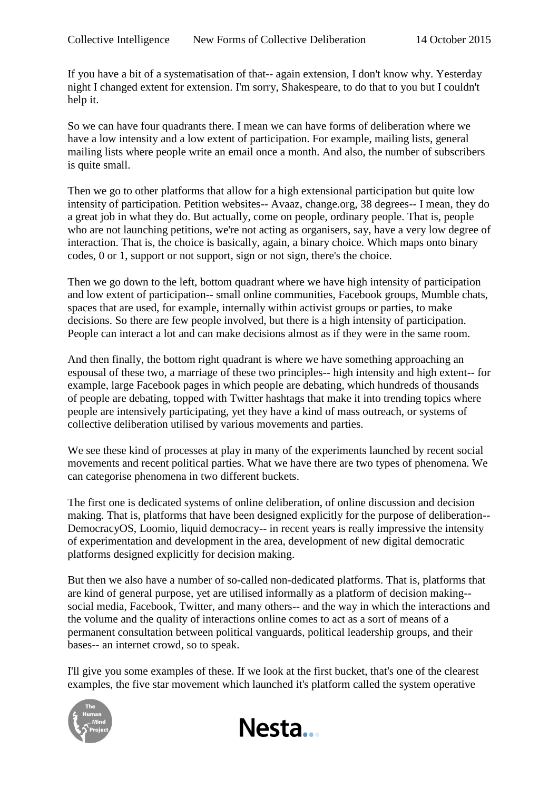If you have a bit of a systematisation of that-- again extension, I don't know why. Yesterday night I changed extent for extension. I'm sorry, Shakespeare, to do that to you but I couldn't help it.

So we can have four quadrants there. I mean we can have forms of deliberation where we have a low intensity and a low extent of participation. For example, mailing lists, general mailing lists where people write an email once a month. And also, the number of subscribers is quite small.

Then we go to other platforms that allow for a high extensional participation but quite low intensity of participation. Petition websites-- Avaaz, change.org, 38 degrees-- I mean, they do a great job in what they do. But actually, come on people, ordinary people. That is, people who are not launching petitions, we're not acting as organisers, say, have a very low degree of interaction. That is, the choice is basically, again, a binary choice. Which maps onto binary codes, 0 or 1, support or not support, sign or not sign, there's the choice.

Then we go down to the left, bottom quadrant where we have high intensity of participation and low extent of participation-- small online communities, Facebook groups, Mumble chats, spaces that are used, for example, internally within activist groups or parties, to make decisions. So there are few people involved, but there is a high intensity of participation. People can interact a lot and can make decisions almost as if they were in the same room.

And then finally, the bottom right quadrant is where we have something approaching an espousal of these two, a marriage of these two principles-- high intensity and high extent-- for example, large Facebook pages in which people are debating, which hundreds of thousands of people are debating, topped with Twitter hashtags that make it into trending topics where people are intensively participating, yet they have a kind of mass outreach, or systems of collective deliberation utilised by various movements and parties.

We see these kind of processes at play in many of the experiments launched by recent social movements and recent political parties. What we have there are two types of phenomena. We can categorise phenomena in two different buckets.

The first one is dedicated systems of online deliberation, of online discussion and decision making. That is, platforms that have been designed explicitly for the purpose of deliberation-- DemocracyOS, Loomio, liquid democracy-- in recent years is really impressive the intensity of experimentation and development in the area, development of new digital democratic platforms designed explicitly for decision making.

But then we also have a number of so-called non-dedicated platforms. That is, platforms that are kind of general purpose, yet are utilised informally as a platform of decision making- social media, Facebook, Twitter, and many others-- and the way in which the interactions and the volume and the quality of interactions online comes to act as a sort of means of a permanent consultation between political vanguards, political leadership groups, and their bases-- an internet crowd, so to speak.

I'll give you some examples of these. If we look at the first bucket, that's one of the clearest examples, the five star movement which launched it's platform called the system operative



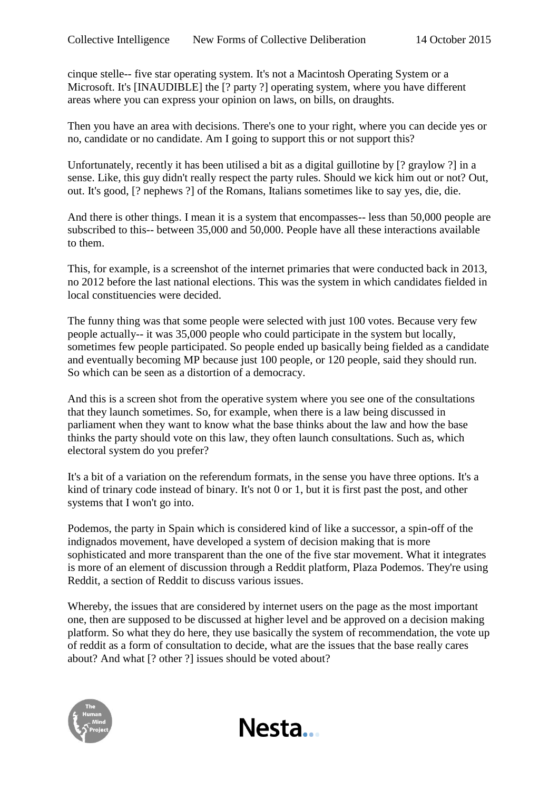cinque stelle-- five star operating system. It's not a Macintosh Operating System or a Microsoft. It's [INAUDIBLE] the [? party ?] operating system, where you have different areas where you can express your opinion on laws, on bills, on draughts.

Then you have an area with decisions. There's one to your right, where you can decide yes or no, candidate or no candidate. Am I going to support this or not support this?

Unfortunately, recently it has been utilised a bit as a digital guillotine by [? graylow ?] in a sense. Like, this guy didn't really respect the party rules. Should we kick him out or not? Out, out. It's good, [? nephews ?] of the Romans, Italians sometimes like to say yes, die, die.

And there is other things. I mean it is a system that encompasses-- less than 50,000 people are subscribed to this-- between 35,000 and 50,000. People have all these interactions available to them.

This, for example, is a screenshot of the internet primaries that were conducted back in 2013, no 2012 before the last national elections. This was the system in which candidates fielded in local constituencies were decided.

The funny thing was that some people were selected with just 100 votes. Because very few people actually-- it was 35,000 people who could participate in the system but locally, sometimes few people participated. So people ended up basically being fielded as a candidate and eventually becoming MP because just 100 people, or 120 people, said they should run. So which can be seen as a distortion of a democracy.

And this is a screen shot from the operative system where you see one of the consultations that they launch sometimes. So, for example, when there is a law being discussed in parliament when they want to know what the base thinks about the law and how the base thinks the party should vote on this law, they often launch consultations. Such as, which electoral system do you prefer?

It's a bit of a variation on the referendum formats, in the sense you have three options. It's a kind of trinary code instead of binary. It's not 0 or 1, but it is first past the post, and other systems that I won't go into.

Podemos, the party in Spain which is considered kind of like a successor, a spin-off of the indignados movement, have developed a system of decision making that is more sophisticated and more transparent than the one of the five star movement. What it integrates is more of an element of discussion through a Reddit platform, Plaza Podemos. They're using Reddit, a section of Reddit to discuss various issues.

Whereby, the issues that are considered by internet users on the page as the most important one, then are supposed to be discussed at higher level and be approved on a decision making platform. So what they do here, they use basically the system of recommendation, the vote up of reddit as a form of consultation to decide, what are the issues that the base really cares about? And what [? other ?] issues should be voted about?

Nesta...

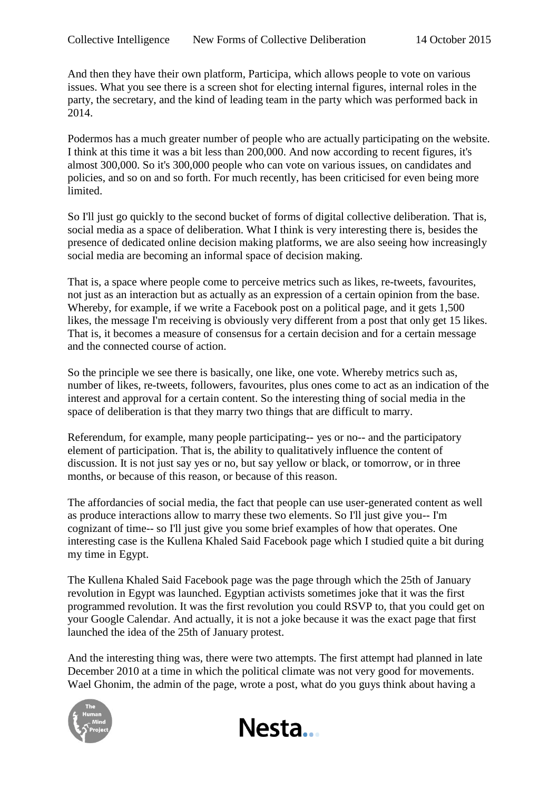And then they have their own platform, Participa, which allows people to vote on various issues. What you see there is a screen shot for electing internal figures, internal roles in the party, the secretary, and the kind of leading team in the party which was performed back in 2014.

Podermos has a much greater number of people who are actually participating on the website. I think at this time it was a bit less than 200,000. And now according to recent figures, it's almost 300,000. So it's 300,000 people who can vote on various issues, on candidates and policies, and so on and so forth. For much recently, has been criticised for even being more limited.

So I'll just go quickly to the second bucket of forms of digital collective deliberation. That is, social media as a space of deliberation. What I think is very interesting there is, besides the presence of dedicated online decision making platforms, we are also seeing how increasingly social media are becoming an informal space of decision making.

That is, a space where people come to perceive metrics such as likes, re-tweets, favourites, not just as an interaction but as actually as an expression of a certain opinion from the base. Whereby, for example, if we write a Facebook post on a political page, and it gets 1,500 likes, the message I'm receiving is obviously very different from a post that only get 15 likes. That is, it becomes a measure of consensus for a certain decision and for a certain message and the connected course of action.

So the principle we see there is basically, one like, one vote. Whereby metrics such as, number of likes, re-tweets, followers, favourites, plus ones come to act as an indication of the interest and approval for a certain content. So the interesting thing of social media in the space of deliberation is that they marry two things that are difficult to marry.

Referendum, for example, many people participating-- yes or no-- and the participatory element of participation. That is, the ability to qualitatively influence the content of discussion. It is not just say yes or no, but say yellow or black, or tomorrow, or in three months, or because of this reason, or because of this reason.

The affordancies of social media, the fact that people can use user-generated content as well as produce interactions allow to marry these two elements. So I'll just give you-- I'm cognizant of time-- so I'll just give you some brief examples of how that operates. One interesting case is the Kullena Khaled Said Facebook page which I studied quite a bit during my time in Egypt.

The Kullena Khaled Said Facebook page was the page through which the 25th of January revolution in Egypt was launched. Egyptian activists sometimes joke that it was the first programmed revolution. It was the first revolution you could RSVP to, that you could get on your Google Calendar. And actually, it is not a joke because it was the exact page that first launched the idea of the 25th of January protest.

And the interesting thing was, there were two attempts. The first attempt had planned in late December 2010 at a time in which the political climate was not very good for movements. Wael Ghonim, the admin of the page, wrote a post, what do you guys think about having a



Nesta...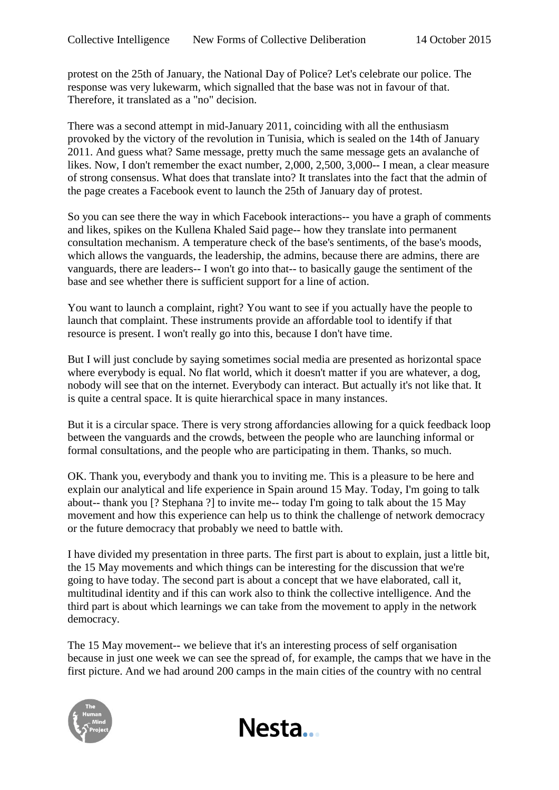protest on the 25th of January, the National Day of Police? Let's celebrate our police. The response was very lukewarm, which signalled that the base was not in favour of that. Therefore, it translated as a "no" decision.

There was a second attempt in mid-January 2011, coinciding with all the enthusiasm provoked by the victory of the revolution in Tunisia, which is sealed on the 14th of January 2011. And guess what? Same message, pretty much the same message gets an avalanche of likes. Now, I don't remember the exact number, 2,000, 2,500, 3,000-- I mean, a clear measure of strong consensus. What does that translate into? It translates into the fact that the admin of the page creates a Facebook event to launch the 25th of January day of protest.

So you can see there the way in which Facebook interactions-- you have a graph of comments and likes, spikes on the Kullena Khaled Said page-- how they translate into permanent consultation mechanism. A temperature check of the base's sentiments, of the base's moods, which allows the vanguards, the leadership, the admins, because there are admins, there are vanguards, there are leaders-- I won't go into that-- to basically gauge the sentiment of the base and see whether there is sufficient support for a line of action.

You want to launch a complaint, right? You want to see if you actually have the people to launch that complaint. These instruments provide an affordable tool to identify if that resource is present. I won't really go into this, because I don't have time.

But I will just conclude by saying sometimes social media are presented as horizontal space where everybody is equal. No flat world, which it doesn't matter if you are whatever, a dog, nobody will see that on the internet. Everybody can interact. But actually it's not like that. It is quite a central space. It is quite hierarchical space in many instances.

But it is a circular space. There is very strong affordancies allowing for a quick feedback loop between the vanguards and the crowds, between the people who are launching informal or formal consultations, and the people who are participating in them. Thanks, so much.

OK. Thank you, everybody and thank you to inviting me. This is a pleasure to be here and explain our analytical and life experience in Spain around 15 May. Today, I'm going to talk about-- thank you [? Stephana ?] to invite me-- today I'm going to talk about the 15 May movement and how this experience can help us to think the challenge of network democracy or the future democracy that probably we need to battle with.

I have divided my presentation in three parts. The first part is about to explain, just a little bit, the 15 May movements and which things can be interesting for the discussion that we're going to have today. The second part is about a concept that we have elaborated, call it, multitudinal identity and if this can work also to think the collective intelligence. And the third part is about which learnings we can take from the movement to apply in the network democracy.

The 15 May movement-- we believe that it's an interesting process of self organisation because in just one week we can see the spread of, for example, the camps that we have in the first picture. And we had around 200 camps in the main cities of the country with no central



Nesta...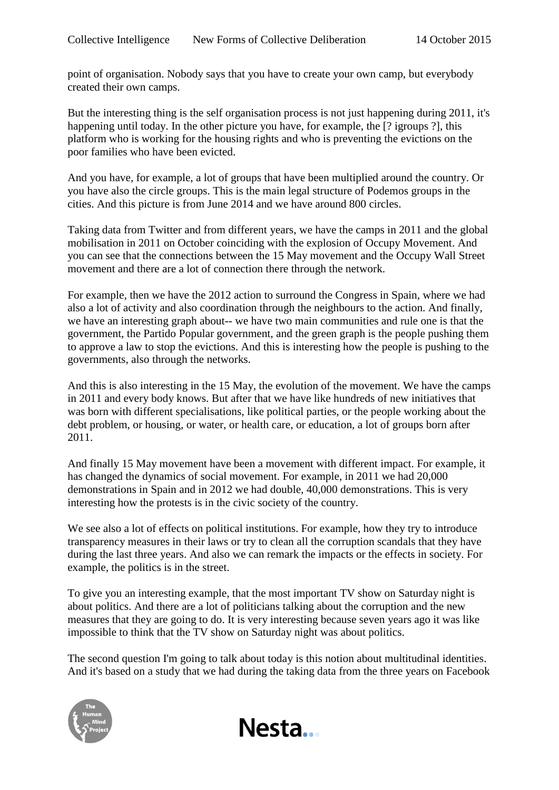point of organisation. Nobody says that you have to create your own camp, but everybody created their own camps.

But the interesting thing is the self organisation process is not just happening during 2011, it's happening until today. In the other picture you have, for example, the [? igroups ?], this platform who is working for the housing rights and who is preventing the evictions on the poor families who have been evicted.

And you have, for example, a lot of groups that have been multiplied around the country. Or you have also the circle groups. This is the main legal structure of Podemos groups in the cities. And this picture is from June 2014 and we have around 800 circles.

Taking data from Twitter and from different years, we have the camps in 2011 and the global mobilisation in 2011 on October coinciding with the explosion of Occupy Movement. And you can see that the connections between the 15 May movement and the Occupy Wall Street movement and there are a lot of connection there through the network.

For example, then we have the 2012 action to surround the Congress in Spain, where we had also a lot of activity and also coordination through the neighbours to the action. And finally, we have an interesting graph about-- we have two main communities and rule one is that the government, the Partido Popular government, and the green graph is the people pushing them to approve a law to stop the evictions. And this is interesting how the people is pushing to the governments, also through the networks.

And this is also interesting in the 15 May, the evolution of the movement. We have the camps in 2011 and every body knows. But after that we have like hundreds of new initiatives that was born with different specialisations, like political parties, or the people working about the debt problem, or housing, or water, or health care, or education, a lot of groups born after 2011.

And finally 15 May movement have been a movement with different impact. For example, it has changed the dynamics of social movement. For example, in 2011 we had 20,000 demonstrations in Spain and in 2012 we had double, 40,000 demonstrations. This is very interesting how the protests is in the civic society of the country.

We see also a lot of effects on political institutions. For example, how they try to introduce transparency measures in their laws or try to clean all the corruption scandals that they have during the last three years. And also we can remark the impacts or the effects in society. For example, the politics is in the street.

To give you an interesting example, that the most important TV show on Saturday night is about politics. And there are a lot of politicians talking about the corruption and the new measures that they are going to do. It is very interesting because seven years ago it was like impossible to think that the TV show on Saturday night was about politics.

The second question I'm going to talk about today is this notion about multitudinal identities. And it's based on a study that we had during the taking data from the three years on Facebook



Nesta...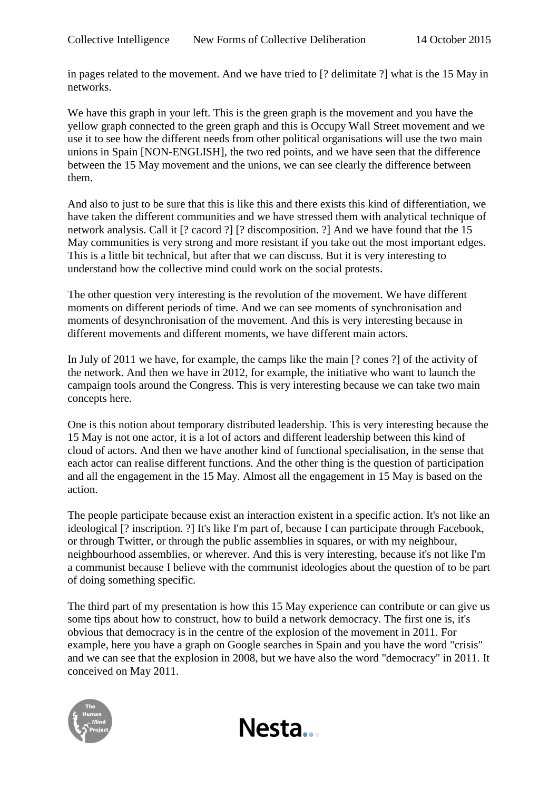in pages related to the movement. And we have tried to [? delimitate ?] what is the 15 May in networks.

We have this graph in your left. This is the green graph is the movement and you have the yellow graph connected to the green graph and this is Occupy Wall Street movement and we use it to see how the different needs from other political organisations will use the two main unions in Spain [NON-ENGLISH], the two red points, and we have seen that the difference between the 15 May movement and the unions, we can see clearly the difference between them.

And also to just to be sure that this is like this and there exists this kind of differentiation, we have taken the different communities and we have stressed them with analytical technique of network analysis. Call it [? cacord ?] [? discomposition. ?] And we have found that the 15 May communities is very strong and more resistant if you take out the most important edges. This is a little bit technical, but after that we can discuss. But it is very interesting to understand how the collective mind could work on the social protests.

The other question very interesting is the revolution of the movement. We have different moments on different periods of time. And we can see moments of synchronisation and moments of desynchronisation of the movement. And this is very interesting because in different movements and different moments, we have different main actors.

In July of 2011 we have, for example, the camps like the main [? cones ?] of the activity of the network. And then we have in 2012, for example, the initiative who want to launch the campaign tools around the Congress. This is very interesting because we can take two main concepts here.

One is this notion about temporary distributed leadership. This is very interesting because the 15 May is not one actor, it is a lot of actors and different leadership between this kind of cloud of actors. And then we have another kind of functional specialisation, in the sense that each actor can realise different functions. And the other thing is the question of participation and all the engagement in the 15 May. Almost all the engagement in 15 May is based on the action.

The people participate because exist an interaction existent in a specific action. It's not like an ideological [? inscription. ?] It's like I'm part of, because I can participate through Facebook, or through Twitter, or through the public assemblies in squares, or with my neighbour, neighbourhood assemblies, or wherever. And this is very interesting, because it's not like I'm a communist because I believe with the communist ideologies about the question of to be part of doing something specific.

The third part of my presentation is how this 15 May experience can contribute or can give us some tips about how to construct, how to build a network democracy. The first one is, it's obvious that democracy is in the centre of the explosion of the movement in 2011. For example, here you have a graph on Google searches in Spain and you have the word "crisis" and we can see that the explosion in 2008, but we have also the word "democracy" in 2011. It conceived on May 2011.

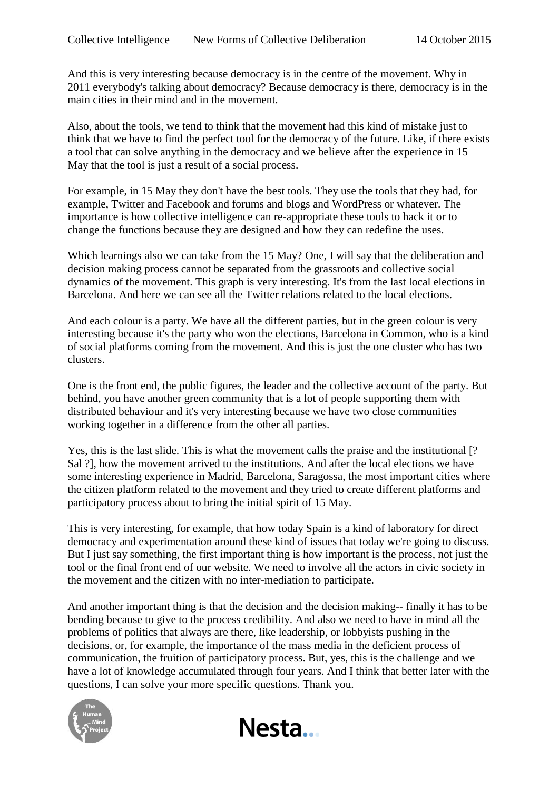And this is very interesting because democracy is in the centre of the movement. Why in 2011 everybody's talking about democracy? Because democracy is there, democracy is in the main cities in their mind and in the movement.

Also, about the tools, we tend to think that the movement had this kind of mistake just to think that we have to find the perfect tool for the democracy of the future. Like, if there exists a tool that can solve anything in the democracy and we believe after the experience in 15 May that the tool is just a result of a social process.

For example, in 15 May they don't have the best tools. They use the tools that they had, for example, Twitter and Facebook and forums and blogs and WordPress or whatever. The importance is how collective intelligence can re-appropriate these tools to hack it or to change the functions because they are designed and how they can redefine the uses.

Which learnings also we can take from the 15 May? One, I will say that the deliberation and decision making process cannot be separated from the grassroots and collective social dynamics of the movement. This graph is very interesting. It's from the last local elections in Barcelona. And here we can see all the Twitter relations related to the local elections.

And each colour is a party. We have all the different parties, but in the green colour is very interesting because it's the party who won the elections, Barcelona in Common, who is a kind of social platforms coming from the movement. And this is just the one cluster who has two clusters.

One is the front end, the public figures, the leader and the collective account of the party. But behind, you have another green community that is a lot of people supporting them with distributed behaviour and it's very interesting because we have two close communities working together in a difference from the other all parties.

Yes, this is the last slide. This is what the movement calls the praise and the institutional [? Sal ?], how the movement arrived to the institutions. And after the local elections we have some interesting experience in Madrid, Barcelona, Saragossa, the most important cities where the citizen platform related to the movement and they tried to create different platforms and participatory process about to bring the initial spirit of 15 May.

This is very interesting, for example, that how today Spain is a kind of laboratory for direct democracy and experimentation around these kind of issues that today we're going to discuss. But I just say something, the first important thing is how important is the process, not just the tool or the final front end of our website. We need to involve all the actors in civic society in the movement and the citizen with no inter-mediation to participate.

And another important thing is that the decision and the decision making-- finally it has to be bending because to give to the process credibility. And also we need to have in mind all the problems of politics that always are there, like leadership, or lobbyists pushing in the decisions, or, for example, the importance of the mass media in the deficient process of communication, the fruition of participatory process. But, yes, this is the challenge and we have a lot of knowledge accumulated through four years. And I think that better later with the questions, I can solve your more specific questions. Thank you.



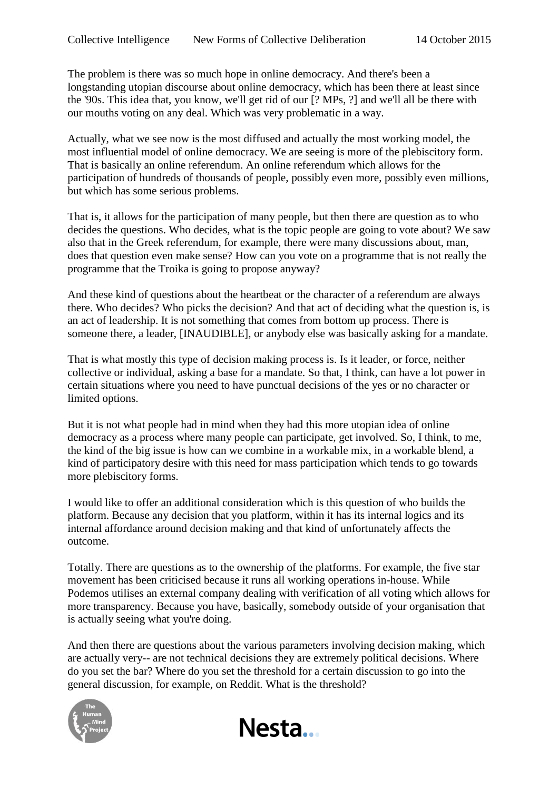The problem is there was so much hope in online democracy. And there's been a longstanding utopian discourse about online democracy, which has been there at least since the '90s. This idea that, you know, we'll get rid of our [? MPs, ?] and we'll all be there with our mouths voting on any deal. Which was very problematic in a way.

Actually, what we see now is the most diffused and actually the most working model, the most influential model of online democracy. We are seeing is more of the plebiscitory form. That is basically an online referendum. An online referendum which allows for the participation of hundreds of thousands of people, possibly even more, possibly even millions, but which has some serious problems.

That is, it allows for the participation of many people, but then there are question as to who decides the questions. Who decides, what is the topic people are going to vote about? We saw also that in the Greek referendum, for example, there were many discussions about, man, does that question even make sense? How can you vote on a programme that is not really the programme that the Troika is going to propose anyway?

And these kind of questions about the heartbeat or the character of a referendum are always there. Who decides? Who picks the decision? And that act of deciding what the question is, is an act of leadership. It is not something that comes from bottom up process. There is someone there, a leader, [INAUDIBLE], or anybody else was basically asking for a mandate.

That is what mostly this type of decision making process is. Is it leader, or force, neither collective or individual, asking a base for a mandate. So that, I think, can have a lot power in certain situations where you need to have punctual decisions of the yes or no character or limited options.

But it is not what people had in mind when they had this more utopian idea of online democracy as a process where many people can participate, get involved. So, I think, to me, the kind of the big issue is how can we combine in a workable mix, in a workable blend, a kind of participatory desire with this need for mass participation which tends to go towards more plebiscitory forms.

I would like to offer an additional consideration which is this question of who builds the platform. Because any decision that you platform, within it has its internal logics and its internal affordance around decision making and that kind of unfortunately affects the outcome.

Totally. There are questions as to the ownership of the platforms. For example, the five star movement has been criticised because it runs all working operations in-house. While Podemos utilises an external company dealing with verification of all voting which allows for more transparency. Because you have, basically, somebody outside of your organisation that is actually seeing what you're doing.

And then there are questions about the various parameters involving decision making, which are actually very-- are not technical decisions they are extremely political decisions. Where do you set the bar? Where do you set the threshold for a certain discussion to go into the general discussion, for example, on Reddit. What is the threshold?



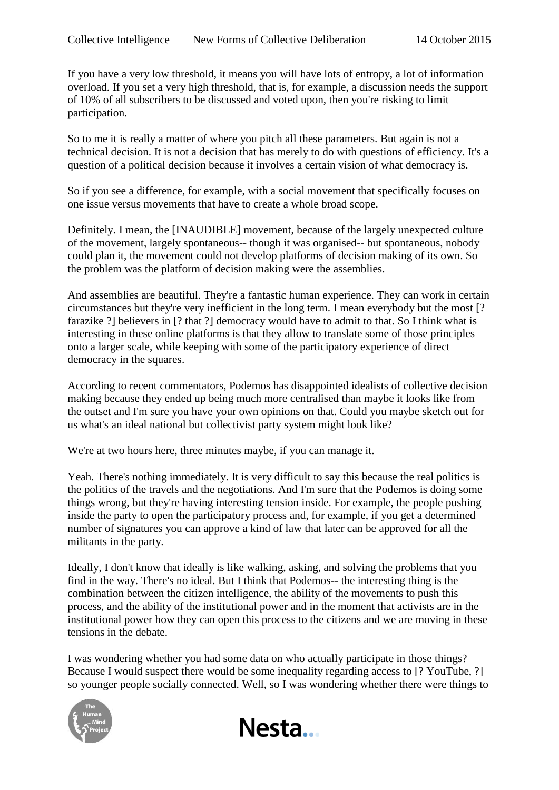If you have a very low threshold, it means you will have lots of entropy, a lot of information overload. If you set a very high threshold, that is, for example, a discussion needs the support of 10% of all subscribers to be discussed and voted upon, then you're risking to limit participation.

So to me it is really a matter of where you pitch all these parameters. But again is not a technical decision. It is not a decision that has merely to do with questions of efficiency. It's a question of a political decision because it involves a certain vision of what democracy is.

So if you see a difference, for example, with a social movement that specifically focuses on one issue versus movements that have to create a whole broad scope.

Definitely. I mean, the [INAUDIBLE] movement, because of the largely unexpected culture of the movement, largely spontaneous-- though it was organised-- but spontaneous, nobody could plan it, the movement could not develop platforms of decision making of its own. So the problem was the platform of decision making were the assemblies.

And assemblies are beautiful. They're a fantastic human experience. They can work in certain circumstances but they're very inefficient in the long term. I mean everybody but the most [? farazike ?] believers in [? that ?] democracy would have to admit to that. So I think what is interesting in these online platforms is that they allow to translate some of those principles onto a larger scale, while keeping with some of the participatory experience of direct democracy in the squares.

According to recent commentators, Podemos has disappointed idealists of collective decision making because they ended up being much more centralised than maybe it looks like from the outset and I'm sure you have your own opinions on that. Could you maybe sketch out for us what's an ideal national but collectivist party system might look like?

We're at two hours here, three minutes maybe, if you can manage it.

Yeah. There's nothing immediately. It is very difficult to say this because the real politics is the politics of the travels and the negotiations. And I'm sure that the Podemos is doing some things wrong, but they're having interesting tension inside. For example, the people pushing inside the party to open the participatory process and, for example, if you get a determined number of signatures you can approve a kind of law that later can be approved for all the militants in the party.

Ideally, I don't know that ideally is like walking, asking, and solving the problems that you find in the way. There's no ideal. But I think that Podemos-- the interesting thing is the combination between the citizen intelligence, the ability of the movements to push this process, and the ability of the institutional power and in the moment that activists are in the institutional power how they can open this process to the citizens and we are moving in these tensions in the debate.

I was wondering whether you had some data on who actually participate in those things? Because I would suspect there would be some inequality regarding access to [? YouTube, ?] so younger people socially connected. Well, so I was wondering whether there were things to



Nesta...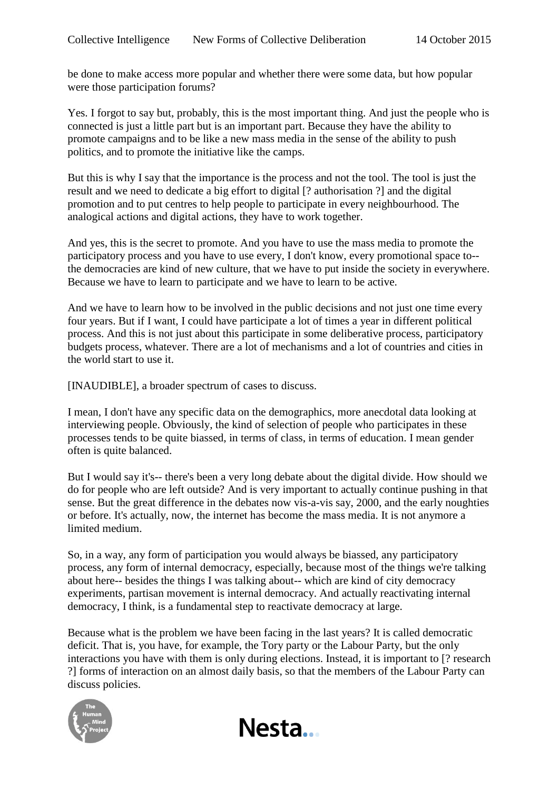be done to make access more popular and whether there were some data, but how popular were those participation forums?

Yes. I forgot to say but, probably, this is the most important thing. And just the people who is connected is just a little part but is an important part. Because they have the ability to promote campaigns and to be like a new mass media in the sense of the ability to push politics, and to promote the initiative like the camps.

But this is why I say that the importance is the process and not the tool. The tool is just the result and we need to dedicate a big effort to digital [? authorisation ?] and the digital promotion and to put centres to help people to participate in every neighbourhood. The analogical actions and digital actions, they have to work together.

And yes, this is the secret to promote. And you have to use the mass media to promote the participatory process and you have to use every, I don't know, every promotional space to- the democracies are kind of new culture, that we have to put inside the society in everywhere. Because we have to learn to participate and we have to learn to be active.

And we have to learn how to be involved in the public decisions and not just one time every four years. But if I want, I could have participate a lot of times a year in different political process. And this is not just about this participate in some deliberative process, participatory budgets process, whatever. There are a lot of mechanisms and a lot of countries and cities in the world start to use it.

[INAUDIBLE], a broader spectrum of cases to discuss.

I mean, I don't have any specific data on the demographics, more anecdotal data looking at interviewing people. Obviously, the kind of selection of people who participates in these processes tends to be quite biassed, in terms of class, in terms of education. I mean gender often is quite balanced.

But I would say it's-- there's been a very long debate about the digital divide. How should we do for people who are left outside? And is very important to actually continue pushing in that sense. But the great difference in the debates now vis-a-vis say, 2000, and the early noughties or before. It's actually, now, the internet has become the mass media. It is not anymore a limited medium.

So, in a way, any form of participation you would always be biassed, any participatory process, any form of internal democracy, especially, because most of the things we're talking about here-- besides the things I was talking about-- which are kind of city democracy experiments, partisan movement is internal democracy. And actually reactivating internal democracy, I think, is a fundamental step to reactivate democracy at large.

Because what is the problem we have been facing in the last years? It is called democratic deficit. That is, you have, for example, the Tory party or the Labour Party, but the only interactions you have with them is only during elections. Instead, it is important to [? research ?] forms of interaction on an almost daily basis, so that the members of the Labour Party can discuss policies.